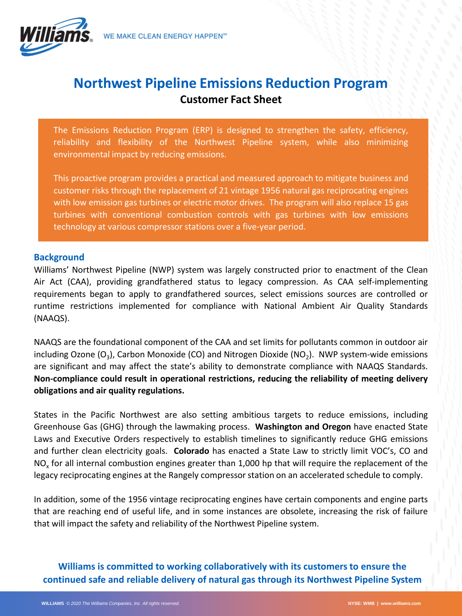

## **Northwest Pipeline Emissions Reduction Program Customer Fact Sheet**

The Emissions Reduction Program (ERP) is designed to strengthen the safety, efficiency, reliability and flexibility of the Northwest Pipeline system, while also minimizing environmental impact by reducing emissions.

This proactive program provides a practical and measured approach to mitigate business and customer risks through the replacement of 21 vintage 1956 natural gas reciprocating engines with low emission gas turbines or electric motor drives. The program will also replace 15 gas turbines with conventional combustion controls with gas turbines with low emissions technology at various compressor stations over a five-year period.

## **Background**

Williams' Northwest Pipeline (NWP) system was largely constructed prior to enactment of the Clean Air Act (CAA), providing grandfathered status to legacy compression. As CAA self-implementing requirements began to apply to grandfathered sources, select emissions sources are controlled or runtime restrictions implemented for compliance with National Ambient Air Quality Standards (NAAQS).

NAAQS are the foundational component of the CAA and set limits for pollutants common in outdoor air including Ozone  $(O_3)$ , Carbon Monoxide (CO) and Nitrogen Dioxide (NO<sub>2</sub>). NWP system-wide emissions are significant and may affect the state's ability to demonstrate compliance with NAAQS Standards. **Non-compliance could result in operational restrictions, reducing the reliability of meeting delivery obligations and air quality regulations.**

States in the Pacific Northwest are also setting ambitious targets to reduce emissions, including Greenhouse Gas (GHG) through the lawmaking process. **Washington and Oregon** have enacted State Laws and Executive Orders respectively to establish timelines to significantly reduce GHG emissions and further clean electricity goals. **Colorado** has enacted a State Law to strictly limit VOC's, CO and NO<sub>y</sub> for all internal combustion engines greater than 1,000 hp that will require the replacement of the legacy reciprocating engines at the Rangely compressor station on an accelerated schedule to comply.

In addition, some of the 1956 vintage reciprocating engines have certain components and engine parts that are reaching end of useful life, and in some instances are obsolete, increasing the risk of failure that will impact the safety and reliability of the Northwest Pipeline system.

**Williams is committed to working collaboratively with its customers to ensure the continued safe and reliable delivery of natural gas through its Northwest Pipeline System**